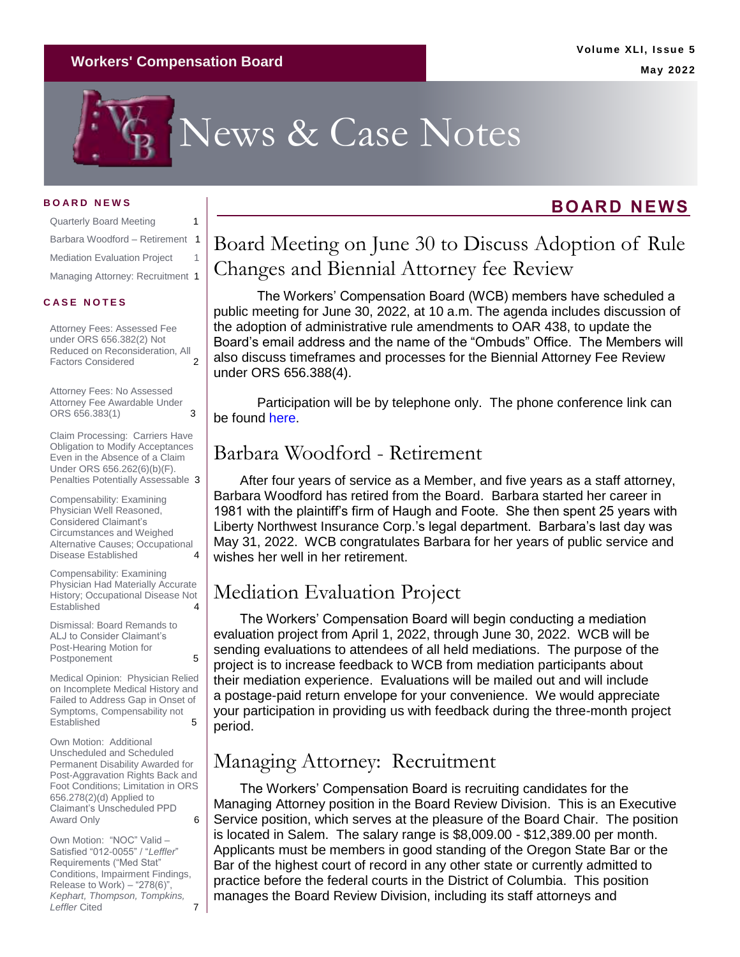#### **Workers' Compensation Board**

# News & Case Notes

#### **B O A R D N E W S**

| <b>Quarterly Board Meeting</b>      | 1  |
|-------------------------------------|----|
| Barbara Woodford - Retirement       | -1 |
| <b>Mediation Evaluation Project</b> |    |
| Managing Attorney: Recruitment 1    |    |

#### **C A S E N O T E S**

[Attorney Fees: Assessed Fee](#page-1-0)  [under ORS 656.382\(2\) Not](#page-1-0)  Reduced on Reconsideration, All<br>Factors Considered 2 [Factors Considered](#page-1-0) 2

[Attorney Fees: No Assessed](#page-2-0)  [Attorney Fee Awardable Under](#page-2-0)  [ORS 656.383\(1\)](#page-2-0) 3

[Claim Processing: Carriers](#page-2-1) Have [Obligation to Modify Acceptances](#page-2-1)  [Even in the Absence of a Claim](#page-2-1)  [Under ORS 656.262\(6\)\(b\)\(F\).](#page-2-1)  [Penalties Potentially Assessable](#page-2-1) 3

[Compensability: Examining](#page-3-0)  [Physician Well Reasoned,](#page-3-0)  [Considered Claimant's](#page-3-0)  [Circumstances and Weighed](#page-3-0)  [Alternative Causes; Occupational](#page-3-0)  [Disease Established](#page-3-0) 4

[Compensability: Examining](#page-3-1)  [Physician Had Materially Accurate](#page-3-1)  History; Occupational Disease Not<br>Established<br>4 **Established** 

[Dismissal: Board Remands to](#page-4-0)  [ALJ to Consider Claimant's](#page-4-0)  [Post-Hearing Motion for](#page-4-0)  [Postponement](#page-4-0) 5

[Medical Opinion: Physician Relied](#page-4-1)  [on Incomplete Medical History and](#page-4-1)  [Failed to Address Gap in Onset of](#page-4-1)  [Symptoms, Compensability not](#page-4-1)  [Established](#page-4-1) 5

[Own Motion: Additional](#page-5-0)  [Unscheduled and Scheduled](#page-5-0)  [Permanent Disability Awarded for](#page-5-0)  [Post-Aggravation Rights Back and](#page-5-0)  [Foot Conditions; Limitation in ORS](#page-5-0)  [656.278\(2\)\(d\) Applied to](#page-5-0)  [Claimant's Unscheduled PPD](#page-5-0)  [Award Only](#page-5-0) 6

Own Motion: ["NOC" Valid –](#page-6-0) [Satisfied "012-0055" / "](#page-6-0)*Leffler*" [Requirements \("Med Stat"](#page-6-0) [Conditions, Impairment Findings,](#page-6-0)  [Release to Work\) –](#page-6-0) "278(6)", *[Kephart, Thompson, Tompkins,](#page-6-0)  Leffler* Cited 7

### <span id="page-0-0"></span>Board Meeting on June 30 to Discuss Adoption of Rule Changes and Biennial Attorney fee Review

The Workers' Compensation Board (WCB) members have scheduled a public meeting for June 30, 2022, at 10 a.m. The agenda includes discussion of the adoption of administrative rule amendments to OAR 438, to update the Board's email address and the name of the "Ombuds" Office. The Members will also discuss timeframes and processes for the Biennial Attorney Fee Review under ORS 656.388(4).

Participation will be by telephone only. The phone conference link can be found [here.](https://www.oregon.gov/wcb/Documents/brdmtgs/2022/063022-brdmtgconfinstructions.pdf)

#### <span id="page-0-1"></span>Barbara Woodford - Retirement

After four years of service as a Member, and five years as a staff attorney, Barbara Woodford has retired from the Board. Barbara started her career in 1981 with the plaintiff's firm of Haugh and Foote. She then spent 25 years with Liberty Northwest Insurance Corp.'s legal department. Barbara's last day was May 31, 2022. WCB congratulates Barbara for her years of public service and wishes her well in her retirement.

### <span id="page-0-2"></span>Mediation Evaluation Project

The Workers' Compensation Board will begin conducting a mediation evaluation project from April 1, 2022, through June 30, 2022. WCB will be sending evaluations to attendees of all held mediations. The purpose of the project is to increase feedback to WCB from mediation participants about their mediation experience. Evaluations will be mailed out and will include a postage-paid return envelope for your convenience. We would appreciate your participation in providing us with feedback during the three-month project period.

### <span id="page-0-3"></span>Managing Attorney: Recruitment

The Workers' Compensation Board is recruiting candidates for the Managing Attorney position in the Board Review Division. This is an Executive Service position, which serves at the pleasure of the Board Chair. The position is located in Salem. The salary range is \$8,009.00 - \$12,389.00 per month. Applicants must be members in good standing of the Oregon State Bar or the Bar of the highest court of record in any other state or currently admitted to practice before the federal courts in the District of Columbia. This position manages the Board Review Division, including its staff attorneys and

### **BOARD NEWS**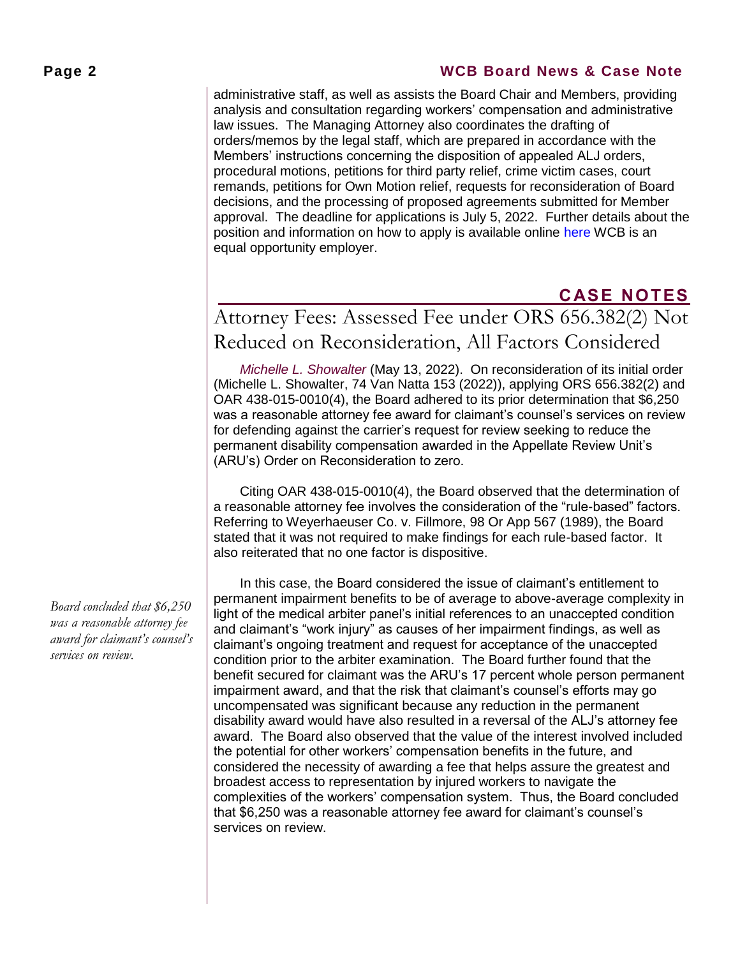#### **Page 2 WCB Board News & Case Note**

administrative staff, as well as assists the Board Chair and Members, providing analysis and consultation regarding workers' compensation and administrative law issues. The Managing Attorney also coordinates the drafting of orders/memos by the legal staff, which are prepared in accordance with the Members' instructions concerning the disposition of appealed ALJ orders, procedural motions, petitions for third party relief, crime victim cases, court remands, petitions for Own Motion relief, requests for reconsideration of Board decisions, and the processing of proposed agreements submitted for Member approval. The deadline for applications is July 5, 2022. Further details about the position and information on how to apply is available online [here](https://oregon.wd5.myworkdayjobs.com/SOR_External_Career_Site) WCB is an equal opportunity employer.

### **CASE NOTES**

## <span id="page-1-0"></span>Attorney Fees: Assessed Fee under ORS 656.382(2) Not Reduced on Reconsideration, All Factors Considered

*[Michelle L. Showalter](https://www.oregon.gov/wcb/Orders/2022/recon/may/2101929a.pdf)* (May 13, 2022). On reconsideration of its initial order (Michelle L. Showalter, 74 Van Natta 153 (2022)), applying ORS 656.382(2) and OAR 438-015-0010(4), the Board adhered to its prior determination that \$6,250 was a reasonable attorney fee award for claimant's counsel's services on review for defending against the carrier's request for review seeking to reduce the permanent disability compensation awarded in the Appellate Review Unit's (ARU's) Order on Reconsideration to zero.

Citing OAR 438-015-0010(4), the Board observed that the determination of a reasonable attorney fee involves the consideration of the "rule-based" factors. Referring to Weyerhaeuser Co. v. Fillmore, 98 Or App 567 (1989), the Board stated that it was not required to make findings for each rule-based factor. It also reiterated that no one factor is dispositive.

In this case, the Board considered the issue of claimant's entitlement to permanent impairment benefits to be of average to above-average complexity in light of the medical arbiter panel's initial references to an unaccepted condition and claimant's "work injury" as causes of her impairment findings, as well as claimant's ongoing treatment and request for acceptance of the unaccepted condition prior to the arbiter examination. The Board further found that the benefit secured for claimant was the ARU's 17 percent whole person permanent impairment award, and that the risk that claimant's counsel's efforts may go uncompensated was significant because any reduction in the permanent disability award would have also resulted in a reversal of the ALJ's attorney fee award. The Board also observed that the value of the interest involved included the potential for other workers' compensation benefits in the future, and considered the necessity of awarding a fee that helps assure the greatest and broadest access to representation by injured workers to navigate the complexities of the workers' compensation system. Thus, the Board concluded that \$6,250 was a reasonable attorney fee award for claimant's counsel's services on review.

*Board concluded that \$6,250 was a reasonable attorney fee award for claimant's counsel's services on review.*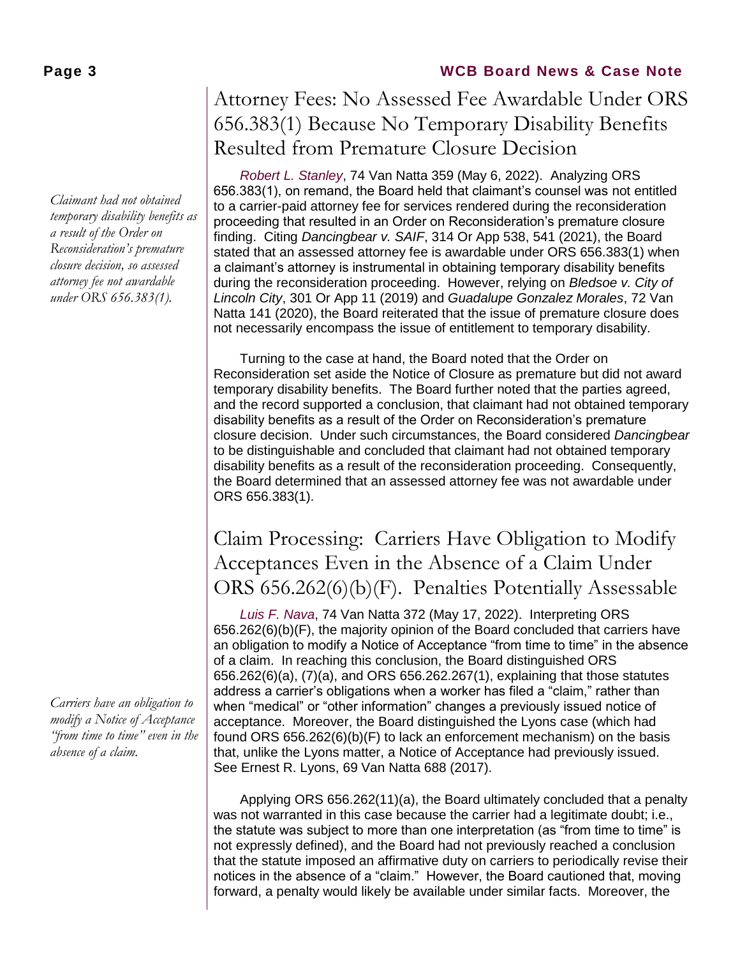*Claimant had not obtained temporary disability benefits as a result of the Order on Reconsideration's premature closure decision, so assessed attorney fee not awardable under ORS 656.383(1).*

*Carriers have an obligation to modify a Notice of Acceptance "from time to time" even in the absence of a claim.* 

#### **Page 3 WCB Board News & Case Note**

### <span id="page-2-0"></span>Attorney Fees: No Assessed Fee Awardable Under ORS 656.383(1) Because No Temporary Disability Benefits Resulted from Premature Closure Decision

*[Robert L. Stanley](https://www.oregon.gov/wcb/Orders/2022/remand/may/1700827.pdf)*, 74 Van Natta 359 (May 6, 2022). Analyzing ORS 656.383(1), on remand, the Board held that claimant's counsel was not entitled to a carrier-paid attorney fee for services rendered during the reconsideration proceeding that resulted in an Order on Reconsideration's premature closure finding. Citing *Dancingbear v. SAIF*, 314 Or App 538, 541 (2021), the Board stated that an assessed attorney fee is awardable under ORS 656.383(1) when a claimant's attorney is instrumental in obtaining temporary disability benefits during the reconsideration proceeding. However, relying on *Bledsoe v. City of Lincoln City*, 301 Or App 11 (2019) and *Guadalupe Gonzalez Morales*, 72 Van Natta 141 (2020), the Board reiterated that the issue of premature closure does not necessarily encompass the issue of entitlement to temporary disability.

Turning to the case at hand, the Board noted that the Order on Reconsideration set aside the Notice of Closure as premature but did not award temporary disability benefits. The Board further noted that the parties agreed, and the record supported a conclusion, that claimant had not obtained temporary disability benefits as a result of the Order on Reconsideration's premature closure decision. Under such circumstances, the Board considered *Dancingbear*  to be distinguishable and concluded that claimant had not obtained temporary disability benefits as a result of the reconsideration proceeding. Consequently, the Board determined that an assessed attorney fee was not awardable under ORS 656.383(1).

### <span id="page-2-1"></span>Claim Processing: Carriers Have Obligation to Modify Acceptances Even in the Absence of a Claim Under ORS 656.262(6)(b)(F). Penalties Potentially Assessable

*[Luis F. Nava](https://www.oregon.gov/wcb/Orders/2022/review/may/1904777j.pdf)*, 74 Van Natta 372 (May 17, 2022). Interpreting ORS 656.262(6)(b)(F), the majority opinion of the Board concluded that carriers have an obligation to modify a Notice of Acceptance "from time to time" in the absence of a claim. In reaching this conclusion, the Board distinguished ORS 656.262(6)(a), (7)(a), and ORS 656.262.267(1), explaining that those statutes address a carrier's obligations when a worker has filed a "claim," rather than when "medical" or "other information" changes a previously issued notice of acceptance. Moreover, the Board distinguished the Lyons case (which had found ORS 656.262(6)(b)(F) to lack an enforcement mechanism) on the basis that, unlike the Lyons matter, a Notice of Acceptance had previously issued. See Ernest R. Lyons, 69 Van Natta 688 (2017).

Applying ORS 656.262(11)(a), the Board ultimately concluded that a penalty was not warranted in this case because the carrier had a legitimate doubt; i.e., the statute was subject to more than one interpretation (as "from time to time" is not expressly defined), and the Board had not previously reached a conclusion that the statute imposed an affirmative duty on carriers to periodically revise their notices in the absence of a "claim." However, the Board cautioned that, moving forward, a penalty would likely be available under similar facts. Moreover, the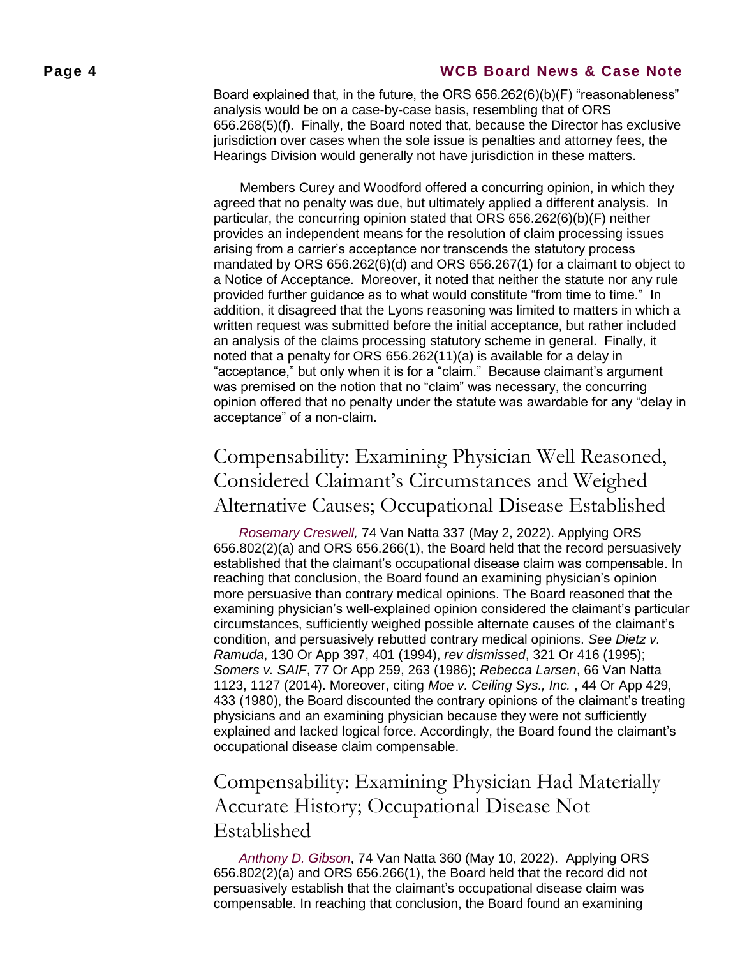#### **Page 4 WCB Board News & Case Note**

Board explained that, in the future, the ORS 656.262(6)(b)(F) "reasonableness" analysis would be on a case-by-case basis, resembling that of ORS 656.268(5)(f). Finally, the Board noted that, because the Director has exclusive jurisdiction over cases when the sole issue is penalties and attorney fees, the Hearings Division would generally not have jurisdiction in these matters.

Members Curey and Woodford offered a concurring opinion, in which they agreed that no penalty was due, but ultimately applied a different analysis. In particular, the concurring opinion stated that ORS 656.262(6)(b)(F) neither provides an independent means for the resolution of claim processing issues arising from a carrier's acceptance nor transcends the statutory process mandated by ORS 656.262(6)(d) and ORS 656.267(1) for a claimant to object to a Notice of Acceptance. Moreover, it noted that neither the statute nor any rule provided further guidance as to what would constitute "from time to time." In addition, it disagreed that the Lyons reasoning was limited to matters in which a written request was submitted before the initial acceptance, but rather included an analysis of the claims processing statutory scheme in general. Finally, it noted that a penalty for ORS 656.262(11)(a) is available for a delay in "acceptance," but only when it is for a "claim." Because claimant's argument was premised on the notion that no "claim" was necessary, the concurring opinion offered that no penalty under the statute was awardable for any "delay in acceptance" of a non-claim.

### <span id="page-3-0"></span>Compensability: Examining Physician Well Reasoned, Considered Claimant's Circumstances and Weighed Alternative Causes; Occupational Disease Established

*[Rosemary Creswell,](https://www.oregon.gov/wcb/Orders/2022/review/may/1905960c.pdf)* 74 Van Natta 337 (May 2, 2022). Applying ORS 656.802(2)(a) and ORS 656.266(1), the Board held that the record persuasively established that the claimant's occupational disease claim was compensable. In reaching that conclusion, the Board found an examining physician's opinion more persuasive than contrary medical opinions. The Board reasoned that the examining physician's well-explained opinion considered the claimant's particular circumstances, sufficiently weighed possible alternate causes of the claimant's condition, and persuasively rebutted contrary medical opinions. *See Dietz v. Ramuda*, 130 Or App 397, 401 (1994), *rev dismissed*, 321 Or 416 (1995); *Somers v. SAIF*, 77 Or App 259, 263 (1986); *Rebecca Larsen*, 66 Van Natta 1123, 1127 (2014). Moreover, citing *Moe v. Ceiling Sys., Inc.* , 44 Or App 429, 433 (1980), the Board discounted the contrary opinions of the claimant's treating physicians and an examining physician because they were not sufficiently explained and lacked logical force. Accordingly, the Board found the claimant's occupational disease claim compensable.

### <span id="page-3-1"></span>Compensability: Examining Physician Had Materially Accurate History; Occupational Disease Not Established

*[Anthony D. Gibson](https://www.oregon.gov/wcb/Orders/2022/review/may/2100326a.pdf)*, 74 Van Natta 360 (May 10, 2022). Applying ORS 656.802(2)(a) and ORS 656.266(1), the Board held that the record did not persuasively establish that the claimant's occupational disease claim was compensable. In reaching that conclusion, the Board found an examining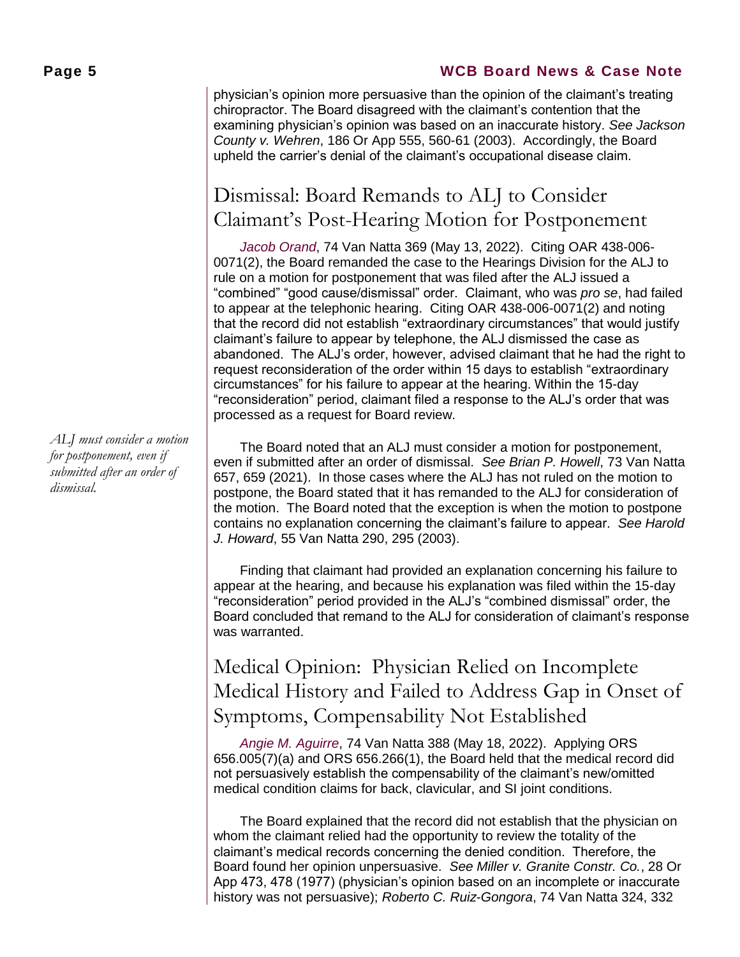#### **Page 5 WCB Board News & Case Note**

physician's opinion more persuasive than the opinion of the claimant's treating chiropractor. The Board disagreed with the claimant's contention that the examining physician's opinion was based on an inaccurate history. *See Jackson County v. Wehren*, 186 Or App 555, 560-61 (2003). Accordingly, the Board upheld the carrier's denial of the claimant's occupational disease claim.

### <span id="page-4-0"></span>Dismissal: Board Remands to ALJ to Consider Claimant's Post-Hearing Motion for Postponement

*[Jacob Orand](https://www.oregon.gov/wcb/Orders/2022/remand/may/2104489b.pdf)*, 74 Van Natta 369 (May 13, 2022). Citing OAR 438-006- 0071(2), the Board remanded the case to the Hearings Division for the ALJ to rule on a motion for postponement that was filed after the ALJ issued a "combined" "good cause/dismissal" order. Claimant, who was *pro se*, had failed to appear at the telephonic hearing. Citing OAR 438-006-0071(2) and noting that the record did not establish "extraordinary circumstances" that would justify claimant's failure to appear by telephone, the ALJ dismissed the case as abandoned. The ALJ's order, however, advised claimant that he had the right to request reconsideration of the order within 15 days to establish "extraordinary circumstances" for his failure to appear at the hearing. Within the 15-day "reconsideration" period, claimant filed a response to the ALJ's order that was processed as a request for Board review.

The Board noted that an ALJ must consider a motion for postponement, even if submitted after an order of dismissal. *See Brian P. Howell*, 73 Van Natta 657, 659 (2021). In those cases where the ALJ has not ruled on the motion to postpone, the Board stated that it has remanded to the ALJ for consideration of the motion. The Board noted that the exception is when the motion to postpone contains no explanation concerning the claimant's failure to appear. *See Harold J. Howard*, 55 Van Natta 290, 295 (2003).

Finding that claimant had provided an explanation concerning his failure to appear at the hearing, and because his explanation was filed within the 15-day "reconsideration" period provided in the ALJ's "combined dismissal" order, the Board concluded that remand to the ALJ for consideration of claimant's response was warranted.

### <span id="page-4-1"></span>Medical Opinion: Physician Relied on Incomplete Medical History and Failed to Address Gap in Onset of Symptoms, Compensability Not Established

*[Angie M. Aguirre](https://www.oregon.gov/wcb/Orders/2022/review/may/2000986a.pdf)*, 74 Van Natta 388 (May 18, 2022). Applying ORS 656.005(7)(a) and ORS 656.266(1), the Board held that the medical record did not persuasively establish the compensability of the claimant's new/omitted medical condition claims for back, clavicular, and SI joint conditions.

The Board explained that the record did not establish that the physician on whom the claimant relied had the opportunity to review the totality of the claimant's medical records concerning the denied condition. Therefore, the Board found her opinion unpersuasive. *See Miller v. Granite Constr. Co.*, 28 Or App 473, 478 (1977) (physician's opinion based on an incomplete or inaccurate history was not persuasive); *Roberto C. Ruiz-Gongora*, 74 Van Natta 324, 332

*ALJ must consider a motion for postponement, even if submitted after an order of dismissal.*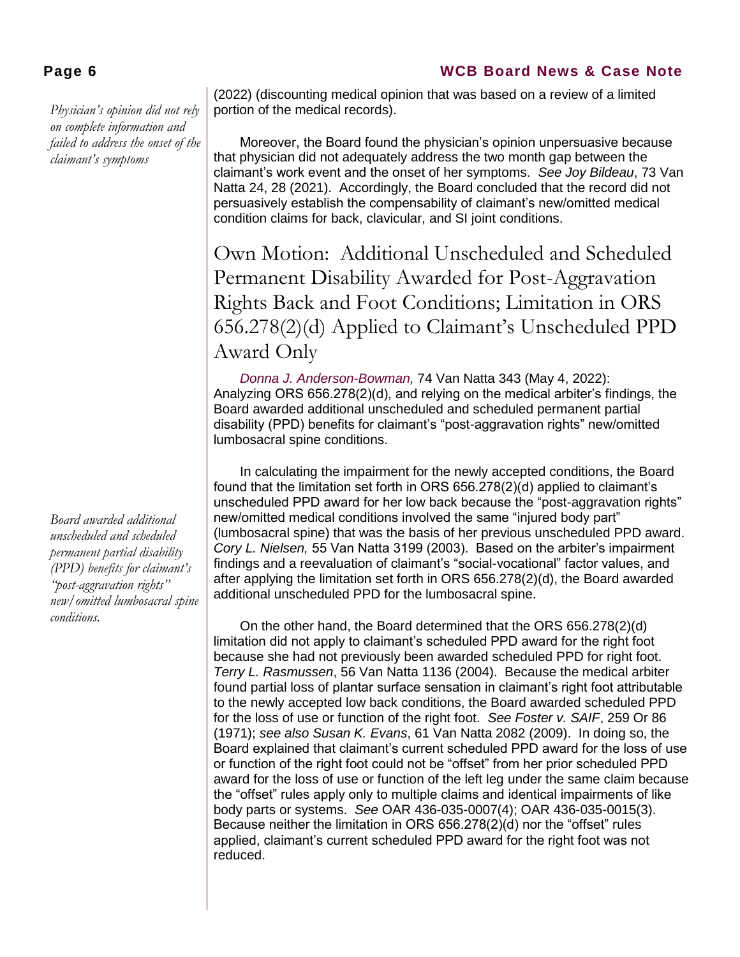*Physician's opinion did not rely on complete information and failed to address the onset of the claimant's symptoms*

*Board awarded additional unscheduled and scheduled permanent partial disability (PPD) benefits for claimant's "post-aggravation rights" new/omitted lumbosacral spine conditions.* 

#### **Page 6 WCB Board News & Case Note**

(2022) (discounting medical opinion that was based on a review of a limited portion of the medical records).

Moreover, the Board found the physician's opinion unpersuasive because that physician did not adequately address the two month gap between the claimant's work event and the onset of her symptoms. *See Joy Bildeau*, 73 Van Natta 24, 28 (2021). Accordingly, the Board concluded that the record did not persuasively establish the compensability of claimant's new/omitted medical condition claims for back, clavicular, and SI joint conditions.

<span id="page-5-0"></span>Own Motion: Additional Unscheduled and Scheduled Permanent Disability Awarded for Post-Aggravation Rights Back and Foot Conditions; Limitation in ORS 656.278(2)(d) Applied to Claimant's Unscheduled PPD Award Only

*[Donna J. Anderson-Bowman,](https://www.oregon.gov/wcb/Orders/2022/omo/may/2100017oma.pdf)* 74 Van Natta 343 (May 4, 2022): Analyzing ORS 656.278(2)(d), and relying on the medical arbiter's findings, the Board awarded additional unscheduled and scheduled permanent partial disability (PPD) benefits for claimant's "post-aggravation rights" new/omitted lumbosacral spine conditions.

In calculating the impairment for the newly accepted conditions, the Board found that the limitation set forth in ORS 656.278(2)(d) applied to claimant's unscheduled PPD award for her low back because the "post-aggravation rights" new/omitted medical conditions involved the same "injured body part" (lumbosacral spine) that was the basis of her previous unscheduled PPD award. *Cory L. Nielsen,* 55 Van Natta 3199 (2003). Based on the arbiter's impairment findings and a reevaluation of claimant's "social-vocational" factor values, and after applying the limitation set forth in ORS 656.278(2)(d), the Board awarded additional unscheduled PPD for the lumbosacral spine.

On the other hand, the Board determined that the ORS 656.278(2)(d) limitation did not apply to claimant's scheduled PPD award for the right foot because she had not previously been awarded scheduled PPD for right foot. *Terry L. Rasmussen*, 56 Van Natta 1136 (2004). Because the medical arbiter found partial loss of plantar surface sensation in claimant's right foot attributable to the newly accepted low back conditions, the Board awarded scheduled PPD for the loss of use or function of the right foot. *See Foster v. SAIF*, 259 Or 86 (1971); *see also Susan K. Evans*, 61 Van Natta 2082 (2009). In doing so, the Board explained that claimant's current scheduled PPD award for the loss of use or function of the right foot could not be "offset" from her prior scheduled PPD award for the loss of use or function of the left leg under the same claim because the "offset" rules apply only to multiple claims and identical impairments of like body parts or systems. *See* OAR 436-035-0007(4); OAR 436-035-0015(3). Because neither the limitation in ORS 656.278(2)(d) nor the "offset" rules applied, claimant's current scheduled PPD award for the right foot was not reduced.